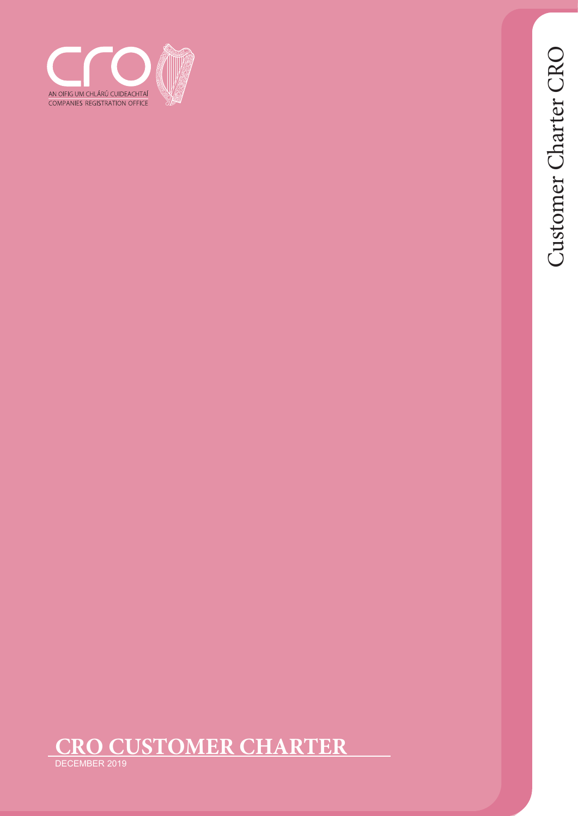



DECEMBER 2019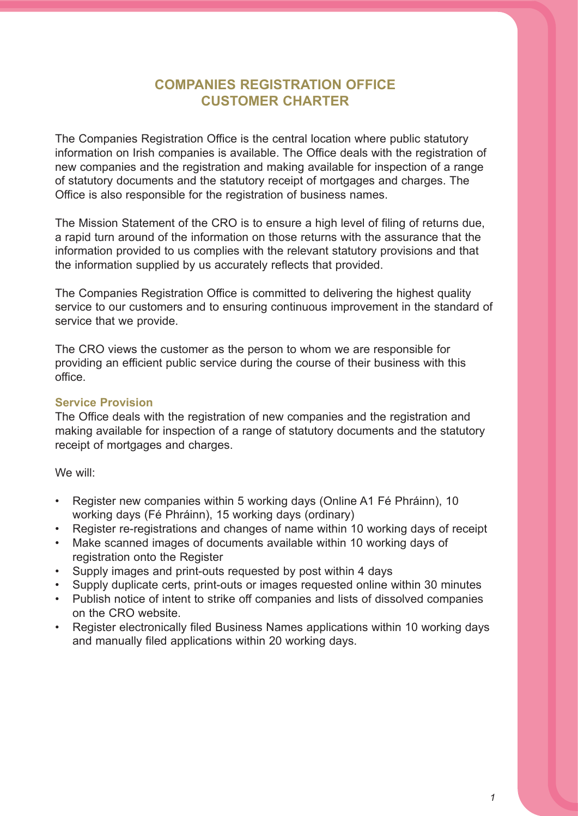# **COMPANIES REGISTRATION OFFICE CUSTOMER CHARTER**

The Companies Registration Office is the central location where public statutory information on Irish companies is available. The Office deals with the registration of new companies and the registration and making available for inspection of a range of statutory documents and the statutory receipt of mortgages and charges. The Office is also responsible for the registration of business names.

The Mission Statement of the CRO is to ensure a high level of filing of returns due, a rapid turn around of the information on those returns with the assurance that the information provided to us complies with the relevant statutory provisions and that the information supplied by us accurately reflects that provided.

The Companies Registration Office is committed to delivering the highest quality service to our customers and to ensuring continuous improvement in the standard of service that we provide.

The CRO views the customer as the person to whom we are responsible for providing an efficient public service during the course of their business with this office.

### **Service Provision**

The Office deals with the registration of new companies and the registration and making available for inspection of a range of statutory documents and the statutory receipt of mortgages and charges.

We will:

- Register new companies within 5 working days (Online A1 Fé Phráinn), 10 working days (Fé Phráinn), 15 working days (ordinary)
- Register re-registrations and changes of name within 10 working days of receipt
- Make scanned images of documents available within 10 working days of registration onto the Register
- Supply images and print-outs requested by post within 4 days
- Supply duplicate certs, print-outs or images requested online within 30 minutes
- Publish notice of intent to strike off companies and lists of dissolved companies on the CRO website.
- Register electronically filed Business Names applications within 10 working days and manually filed applications within 20 working days.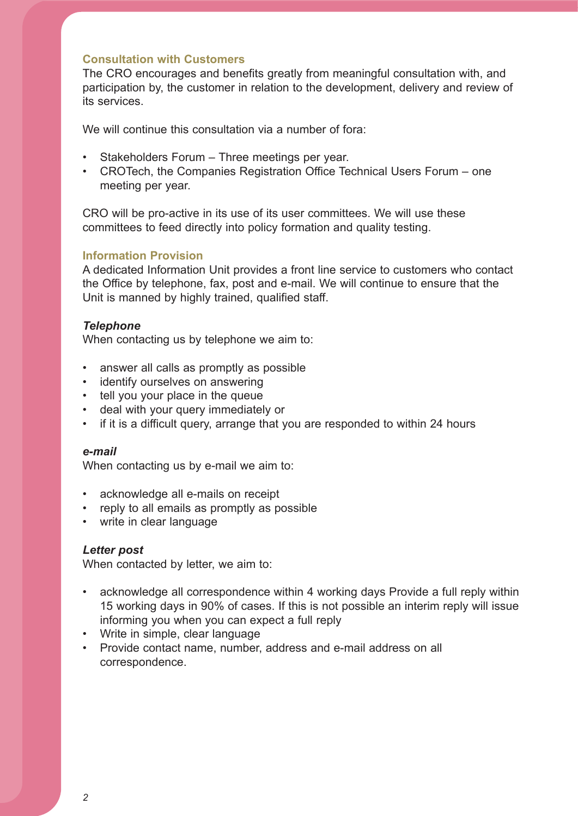### **Consultation with Customers**

The CRO encourages and benefits greatly from meaningful consultation with, and participation by, the customer in relation to the development, delivery and review of its services.

We will continue this consultation via a number of fora:

- Stakeholders Forum Three meetings per year.
- CROTech, the Companies Registration Office Technical Users Forum one meeting per year.

CRO will be pro-active in its use of its user committees. We will use these committees to feed directly into policy formation and quality testing.

### **Information Provision**

A dedicated Information Unit provides a front line service to customers who contact the Office by telephone, fax, post and e-mail. We will continue to ensure that the Unit is manned by highly trained, qualified staff.

### *Telephone*

When contacting us by telephone we aim to:

- answer all calls as promptly as possible
- identify ourselves on answering
- tell you your place in the queue
- deal with your query immediately or
- if it is a difficult query, arrange that you are responded to within 24 hours

#### *e-mail*

When contacting us by e-mail we aim to:

- acknowledge all e-mails on receipt
- reply to all emails as promptly as possible
- write in clear language

### *Letter post*

When contacted by letter, we aim to:

- acknowledge all correspondence within 4 working days Provide a full reply within 15 working days in 90% of cases. If this is not possible an interim reply will issue informing you when you can expect a full reply
- Write in simple, clear language
- Provide contact name, number, address and e-mail address on all correspondence.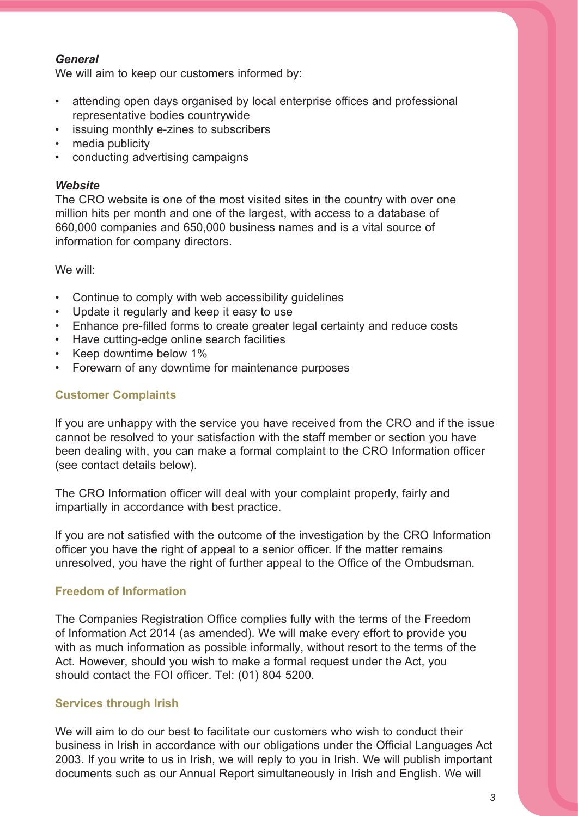## *General*

We will aim to keep our customers informed by:

- attending open days organised by local enterprise offices and professional representative bodies countrywide
- issuing monthly e-zines to subscribers
- media publicity
- conducting advertising campaigns

## *Website*

The CRO website is one of the most visited sites in the country with over one million hits per month and one of the largest, with access to a database of 660,000 companies and 650,000 business names and is a vital source of information for company directors.

We will:

- Continue to comply with web accessibility guidelines
- Update it regularly and keep it easy to use
- Enhance pre-filled forms to create greater legal certainty and reduce costs
- Have cutting-edge online search facilities
- Keep downtime below 1%
- Forewarn of any downtime for maintenance purposes

# **Customer Complaints**

If you are unhappy with the service you have received from the CRO and if the issue cannot be resolved to your satisfaction with the staff member or section you have been dealing with, you can make a formal complaint to the CRO Information officer (see contact details below).

The CRO Information officer will deal with your complaint properly, fairly and impartially in accordance with best practice.

If you are not satisfied with the outcome of the investigation by the CRO Information officer you have the right of appeal to a senior officer. If the matter remains unresolved, you have the right of further appeal to the Office of the Ombudsman.

# **Freedom of Information**

The Companies Registration Office complies fully with the terms of the Freedom of Information Act 2014 (as amended). We will make every effort to provide you with as much information as possible informally, without resort to the terms of the Act. However, should you wish to make a formal request under the Act, you should contact the FOI officer. Tel: (01) 804 5200.

# **Services through Irish**

We will aim to do our best to facilitate our customers who wish to conduct their business in Irish in accordance with our obligations under the Official Languages Act 2003. If you write to us in Irish, we will reply to you in Irish. We will publish important documents such as our Annual Report simultaneously in Irish and English. We will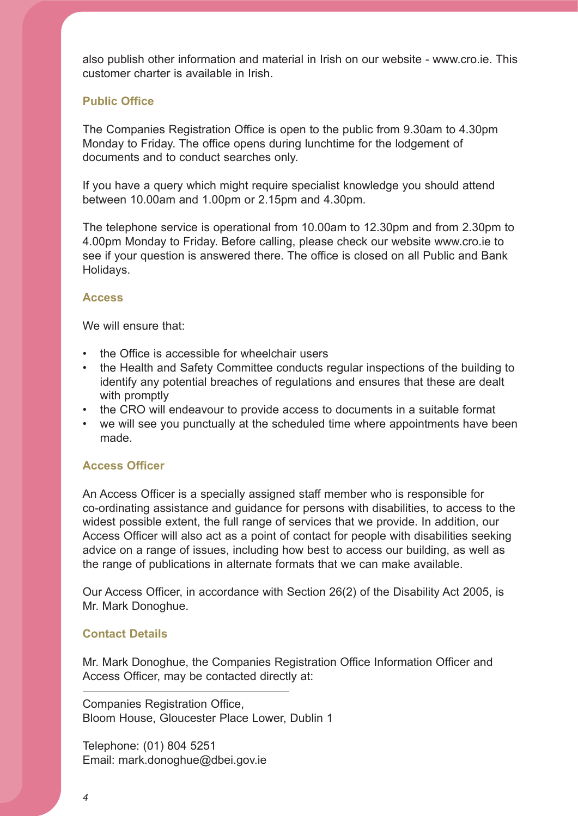also publish other information and material in Irish on our website - www.cro.ie. This customer charter is available in Irish.

## **Public Office**

The Companies Registration Office is open to the public from 9.30am to 4.30pm Monday to Friday. The office opens during lunchtime for the lodgement of documents and to conduct searches only.

If you have a query which might require specialist knowledge you should attend between 10.00am and 1.00pm or 2.15pm and 4.30pm.

The telephone service is operational from 10.00am to 12.30pm and from 2.30pm to 4.00pm Monday to Friday. Before calling, please check our website www.cro.ie to see if your question is answered there. The office is closed on all Public and Bank Holidays.

### **Access**

We will ensure that:

- the Office is accessible for wheelchair users
- the Health and Safety Committee conducts regular inspections of the building to identify any potential breaches of regulations and ensures that these are dealt with promptly
- the CRO will endeavour to provide access to documents in a suitable format
- we will see you punctually at the scheduled time where appointments have been made.

### **Access Officer**

An Access Officer is a specially assigned staff member who is responsible for co-ordinating assistance and guidance for persons with disabilities, to access to the widest possible extent, the full range of services that we provide. In addition, our Access Officer will also act as a point of contact for people with disabilities seeking advice on a range of issues, including how best to access our building, as well as the range of publications in alternate formats that we can make available.

Our Access Officer, in accordance with Section 26(2) of the Disability Act 2005, is Mr. Mark Donoghue.

### **Contact Details**

Mr. Mark Donoghue, the Companies Registration Office Information Officer and Access Officer, may be contacted directly at:

Companies Registration Office, Bloom House, Gloucester Place Lower, Dublin 1

Telephone: (01) 804 5251 Email: mark.donoghue@dbei.gov.ie